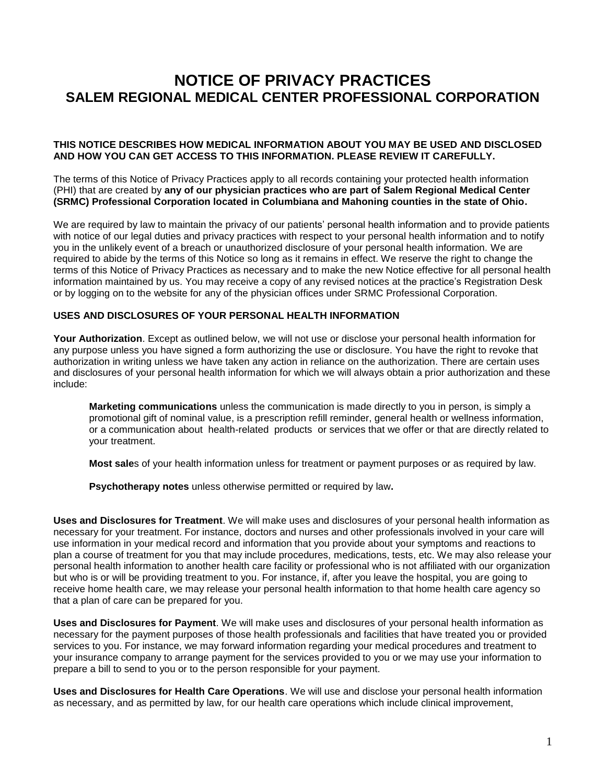## **NOTICE OF PRIVACY PRACTICES SALEM REGIONAL MEDICAL CENTER PROFESSIONAL CORPORATION**

## **THIS NOTICE DESCRIBES HOW MEDICAL INFORMATION ABOUT YOU MAY BE USED AND DISCLOSED AND HOW YOU CAN GET ACCESS TO THIS INFORMATION. PLEASE REVIEW IT CAREFULLY.**

The terms of this Notice of Privacy Practices apply to all records containing your protected health information (PHI) that are created by **any of our physician practices who are part of Salem Regional Medical Center (SRMC) Professional Corporation located in Columbiana and Mahoning counties in the state of Ohio.**

We are required by law to maintain the privacy of our patients' personal health information and to provide patients with notice of our legal duties and privacy practices with respect to your personal health information and to notify you in the unlikely event of a breach or unauthorized disclosure of your personal health information. We are required to abide by the terms of this Notice so long as it remains in effect. We reserve the right to change the terms of this Notice of Privacy Practices as necessary and to make the new Notice effective for all personal health information maintained by us. You may receive a copy of any revised notices at the practice's Registration Desk or by logging on to the website for any of the physician offices under SRMC Professional Corporation.

## **USES AND DISCLOSURES OF YOUR PERSONAL HEALTH INFORMATION**

**Your Authorization**. Except as outlined below, we will not use or disclose your personal health information for any purpose unless you have signed a form authorizing the use or disclosure. You have the right to revoke that authorization in writing unless we have taken any action in reliance on the authorization. There are certain uses and disclosures of your personal health information for which we will always obtain a prior authorization and these include:

**Marketing communications** unless the communication is made directly to you in person, is simply a promotional gift of nominal value, is a prescription refill reminder, general health or wellness information, or a communication about health-related products or services that we offer or that are directly related to your treatment.

**Most sale**s of your health information unless for treatment or payment purposes or as required by law.

**Psychotherapy notes** unless otherwise permitted or required by law**.**

**Uses and Disclosures for Treatment**. We will make uses and disclosures of your personal health information as necessary for your treatment. For instance, doctors and nurses and other professionals involved in your care will use information in your medical record and information that you provide about your symptoms and reactions to plan a course of treatment for you that may include procedures, medications, tests, etc. We may also release your personal health information to another health care facility or professional who is not affiliated with our organization but who is or will be providing treatment to you. For instance, if, after you leave the hospital, you are going to receive home health care, we may release your personal health information to that home health care agency so that a plan of care can be prepared for you.

**Uses and Disclosures for Payment**. We will make uses and disclosures of your personal health information as necessary for the payment purposes of those health professionals and facilities that have treated you or provided services to you. For instance, we may forward information regarding your medical procedures and treatment to your insurance company to arrange payment for the services provided to you or we may use your information to prepare a bill to send to you or to the person responsible for your payment.

**Uses and Disclosures for Health Care Operations**. We will use and disclose your personal health information as necessary, and as permitted by law, for our health care operations which include clinical improvement,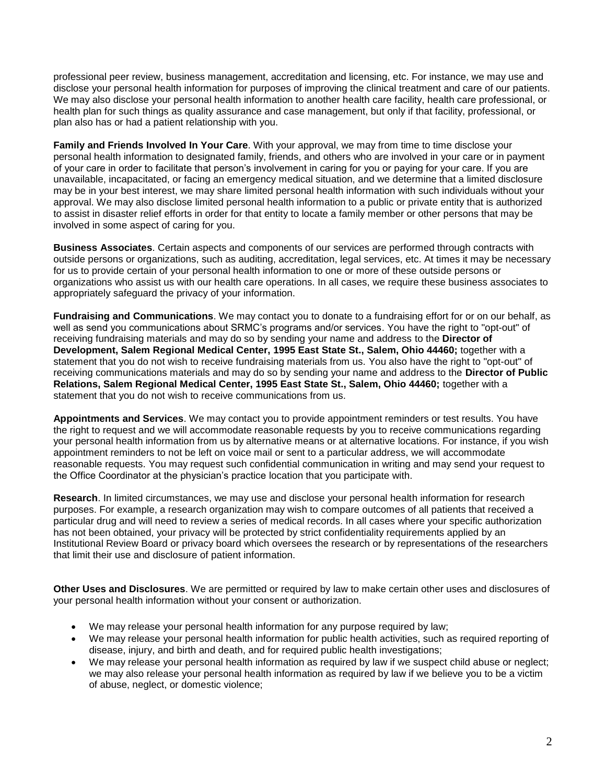professional peer review, business management, accreditation and licensing, etc. For instance, we may use and disclose your personal health information for purposes of improving the clinical treatment and care of our patients. We may also disclose your personal health information to another health care facility, health care professional, or health plan for such things as quality assurance and case management, but only if that facility, professional, or plan also has or had a patient relationship with you.

**Family and Friends Involved In Your Care**. With your approval, we may from time to time disclose your personal health information to designated family, friends, and others who are involved in your care or in payment of your care in order to facilitate that person's involvement in caring for you or paying for your care. If you are unavailable, incapacitated, or facing an emergency medical situation, and we determine that a limited disclosure may be in your best interest, we may share limited personal health information with such individuals without your approval. We may also disclose limited personal health information to a public or private entity that is authorized to assist in disaster relief efforts in order for that entity to locate a family member or other persons that may be involved in some aspect of caring for you.

**Business Associates**. Certain aspects and components of our services are performed through contracts with outside persons or organizations, such as auditing, accreditation, legal services, etc. At times it may be necessary for us to provide certain of your personal health information to one or more of these outside persons or organizations who assist us with our health care operations. In all cases, we require these business associates to appropriately safeguard the privacy of your information.

**Fundraising and Communications**. We may contact you to donate to a fundraising effort for or on our behalf, as well as send you communications about SRMC's programs and/or services. You have the right to "opt-out" of receiving fundraising materials and may do so by sending your name and address to the **Director of Development, Salem Regional Medical Center, 1995 East State St., Salem, Ohio 44460;** together with a statement that you do not wish to receive fundraising materials from us. You also have the right to "opt-out" of receiving communications materials and may do so by sending your name and address to the **Director of Public Relations, Salem Regional Medical Center, 1995 East State St., Salem, Ohio 44460;** together with a statement that you do not wish to receive communications from us.

**Appointments and Services**. We may contact you to provide appointment reminders or test results. You have the right to request and we will accommodate reasonable requests by you to receive communications regarding your personal health information from us by alternative means or at alternative locations. For instance, if you wish appointment reminders to not be left on voice mail or sent to a particular address, we will accommodate reasonable requests. You may request such confidential communication in writing and may send your request to the Office Coordinator at the physician's practice location that you participate with.

**Research**. In limited circumstances, we may use and disclose your personal health information for research purposes. For example, a research organization may wish to compare outcomes of all patients that received a particular drug and will need to review a series of medical records. In all cases where your specific authorization has not been obtained, your privacy will be protected by strict confidentiality requirements applied by an Institutional Review Board or privacy board which oversees the research or by representations of the researchers that limit their use and disclosure of patient information.

**Other Uses and Disclosures**. We are permitted or required by law to make certain other uses and disclosures of your personal health information without your consent or authorization.

- We may release your personal health information for any purpose required by law;
- We may release your personal health information for public health activities, such as required reporting of disease, injury, and birth and death, and for required public health investigations;
- We may release your personal health information as required by law if we suspect child abuse or neglect; we may also release your personal health information as required by law if we believe you to be a victim of abuse, neglect, or domestic violence;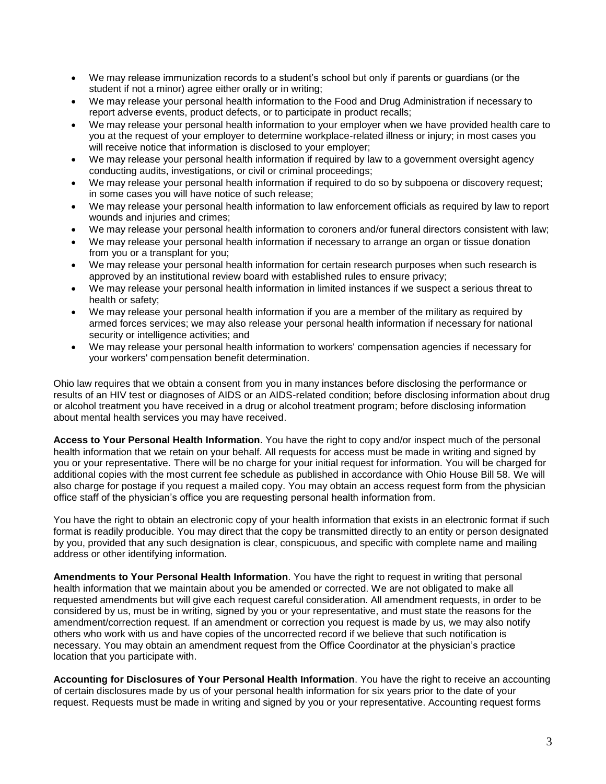- We may release immunization records to a student's school but only if parents or guardians (or the student if not a minor) agree either orally or in writing;
- We may release your personal health information to the Food and Drug Administration if necessary to report adverse events, product defects, or to participate in product recalls;
- We may release your personal health information to your employer when we have provided health care to you at the request of your employer to determine workplace-related illness or injury; in most cases you will receive notice that information is disclosed to your employer;
- We may release your personal health information if required by law to a government oversight agency conducting audits, investigations, or civil or criminal proceedings;
- We may release your personal health information if required to do so by subpoena or discovery request; in some cases you will have notice of such release;
- We may release your personal health information to law enforcement officials as required by law to report wounds and injuries and crimes;
- We may release your personal health information to coroners and/or funeral directors consistent with law;
- We may release your personal health information if necessary to arrange an organ or tissue donation from you or a transplant for you;
- We may release your personal health information for certain research purposes when such research is approved by an institutional review board with established rules to ensure privacy;
- We may release your personal health information in limited instances if we suspect a serious threat to health or safety;
- We may release your personal health information if you are a member of the military as required by armed forces services; we may also release your personal health information if necessary for national security or intelligence activities; and
- We may release your personal health information to workers' compensation agencies if necessary for your workers' compensation benefit determination.

Ohio law requires that we obtain a consent from you in many instances before disclosing the performance or results of an HIV test or diagnoses of AIDS or an AIDS-related condition; before disclosing information about drug or alcohol treatment you have received in a drug or alcohol treatment program; before disclosing information about mental health services you may have received.

**Access to Your Personal Health Information**. You have the right to copy and/or inspect much of the personal health information that we retain on your behalf. All requests for access must be made in writing and signed by you or your representative. There will be no charge for your initial request for information. You will be charged for additional copies with the most current fee schedule as published in accordance with Ohio House Bill 58. We will also charge for postage if you request a mailed copy. You may obtain an access request form from the physician office staff of the physician's office you are requesting personal health information from.

You have the right to obtain an electronic copy of your health information that exists in an electronic format if such format is readily producible. You may direct that the copy be transmitted directly to an entity or person designated by you, provided that any such designation is clear, conspicuous, and specific with complete name and mailing address or other identifying information.

**Amendments to Your Personal Health Information**. You have the right to request in writing that personal health information that we maintain about you be amended or corrected. We are not obligated to make all requested amendments but will give each request careful consideration. All amendment requests, in order to be considered by us, must be in writing, signed by you or your representative, and must state the reasons for the amendment/correction request. If an amendment or correction you request is made by us, we may also notify others who work with us and have copies of the uncorrected record if we believe that such notification is necessary. You may obtain an amendment request from the Office Coordinator at the physician's practice location that you participate with.

**Accounting for Disclosures of Your Personal Health Information**. You have the right to receive an accounting of certain disclosures made by us of your personal health information for six years prior to the date of your request. Requests must be made in writing and signed by you or your representative. Accounting request forms